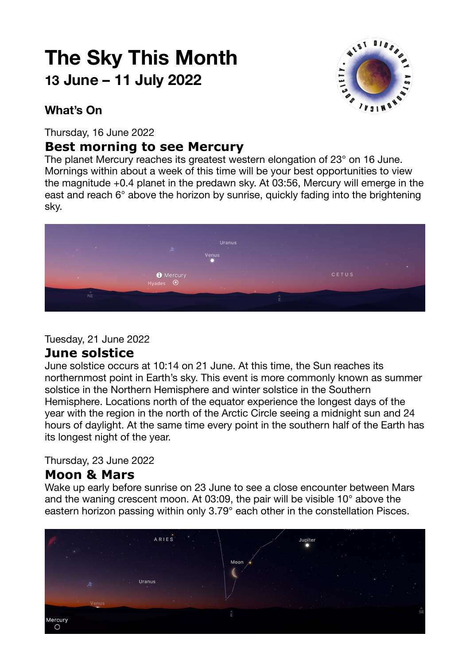# **The Sky This Month 13 June – 11 July 2022**



## **What's On**

Thursday, 16 June 2022

# **Best morning to see Mercury**

The planet Mercury reaches its greatest western elongation of 23° on 16 June. Mornings within about a week of this time will be your best opportunities to view the magnitude +0.4 planet in the predawn sky. At 03:56, Mercury will emerge in the east and reach 6° above the horizon by sunrise, quickly fading into the brightening sky.



Tuesday, 21 June 2022

### **June solstice**

June solstice occurs at 10:14 on 21 June. At this time, the Sun reaches its northernmost point in Earth's sky. This event is more commonly known as summer solstice in the Northern Hemisphere and winter solstice in the Southern Hemisphere. Locations north of the equator experience the longest days of the year with the region in the north of the Arctic Circle seeing a midnight sun and 24 hours of daylight. At the same time every point in the southern half of the Earth has its longest night of the year.

Thursday, 23 June 2022

## **Moon & Mars**

Wake up early before sunrise on 23 June to see a close encounter between Mars and the waning crescent moon. At 03:09, the pair will be visible 10° above the eastern horizon passing within only 3.79° each other in the constellation Pisces.